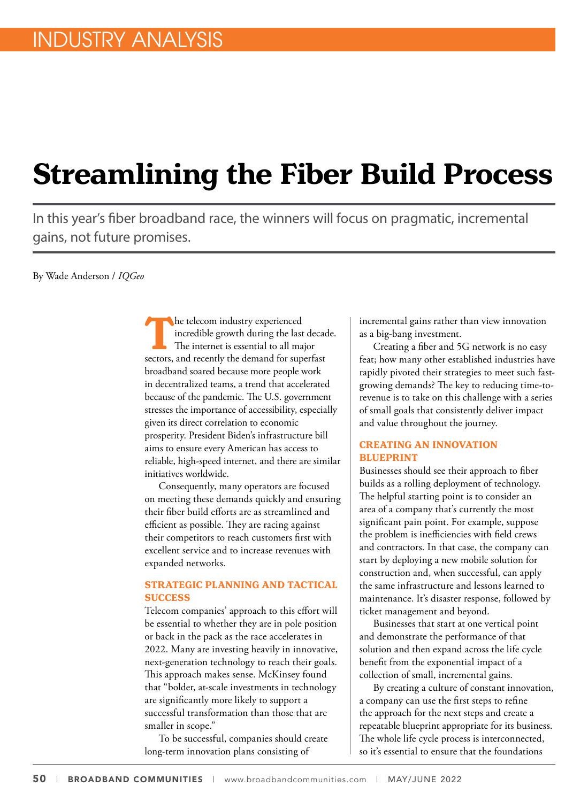## **Streamlining the Fiber Build Process**

In this year's fiber broadband race, the winners will focus on pragmatic, incremental gains, not future promises.

By Wade Anderson / *IQGeo*

**The telecom industry experienced** incredible growth during the last decade. The internet is essential to all major sectors, and recently the demand for superfast broadband soared because more people work in decentralized teams, a trend that accelerated because of the pandemic. The U.S. government stresses the importance of accessibility, especially given its direct correlation to economic prosperity. President Biden's infrastructure bill aims to ensure every American has access to reliable, high-speed internet, and there are similar initiatives worldwide.

Consequently, many operators are focused on meeting these demands quickly and ensuring their fiber build efforts are as streamlined and efficient as possible. They are racing against their competitors to reach customers first with excellent service and to increase revenues with expanded networks.

## **STRATEGIC PLANNING AND TACTICAL SUCCESS**

Telecom companies' approach to this effort will be essential to whether they are in pole position or back in the pack as the race accelerates in 2022. Many are investing heavily in innovative, next-generation technology to reach their goals. This approach makes sense. McKinsey found that "bolder, at-scale investments in technology are significantly more likely to support a successful transformation than those that are smaller in scope."

To be successful, companies should create long-term innovation plans consisting of

incremental gains rather than view innovation as a big-bang investment.

Creating a fiber and 5G network is no easy feat; how many other established industries have rapidly pivoted their strategies to meet such fastgrowing demands? The key to reducing time-torevenue is to take on this challenge with a series of small goals that consistently deliver impact and value throughout the journey.

## **CREATING AN INNOVATION BLUEPRINT**

Businesses should see their approach to fiber builds as a rolling deployment of technology. The helpful starting point is to consider an area of a company that's currently the most significant pain point. For example, suppose the problem is inefficiencies with field crews and contractors. In that case, the company can start by deploying a new mobile solution for construction and, when successful, can apply the same infrastructure and lessons learned to maintenance. It's disaster response, followed by ticket management and beyond.

Businesses that start at one vertical point and demonstrate the performance of that solution and then expand across the life cycle benefit from the exponential impact of a collection of small, incremental gains.

By creating a culture of constant innovation, a company can use the first steps to refine the approach for the next steps and create a repeatable blueprint appropriate for its business. The whole life cycle process is interconnected, so it's essential to ensure that the foundations